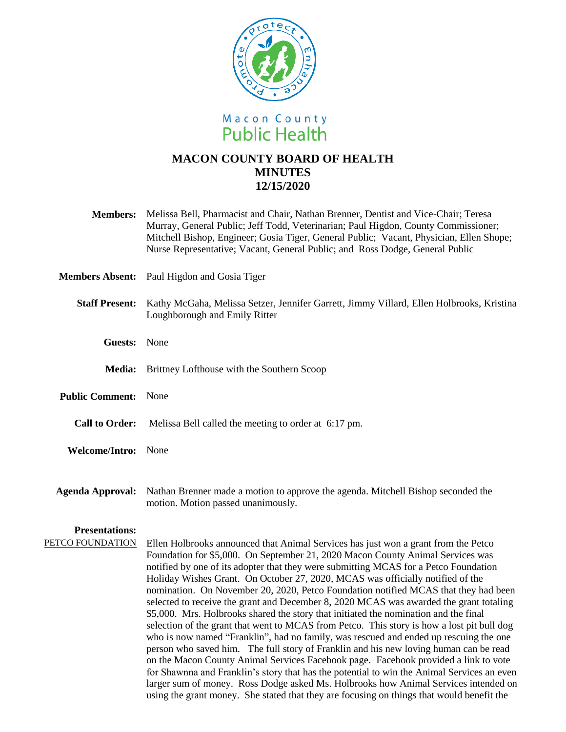

## **MACON COUNTY BOARD OF HEALTH MINUTES 12/15/2020**

| <b>Members:</b>             | Melissa Bell, Pharmacist and Chair, Nathan Brenner, Dentist and Vice-Chair; Teresa<br>Murray, General Public; Jeff Todd, Veterinarian; Paul Higdon, County Commissioner;<br>Mitchell Bishop, Engineer; Gosia Tiger, General Public; Vacant, Physician, Ellen Shope;<br>Nurse Representative; Vacant, General Public; and Ross Dodge, General Public                                                                                                                                                                                                                                                                                                                                                                                                                                                                                                                                                                                                                                                                                                                                                                                                                                 |
|-----------------------------|-------------------------------------------------------------------------------------------------------------------------------------------------------------------------------------------------------------------------------------------------------------------------------------------------------------------------------------------------------------------------------------------------------------------------------------------------------------------------------------------------------------------------------------------------------------------------------------------------------------------------------------------------------------------------------------------------------------------------------------------------------------------------------------------------------------------------------------------------------------------------------------------------------------------------------------------------------------------------------------------------------------------------------------------------------------------------------------------------------------------------------------------------------------------------------------|
|                             | Members Absent: Paul Higdon and Gosia Tiger                                                                                                                                                                                                                                                                                                                                                                                                                                                                                                                                                                                                                                                                                                                                                                                                                                                                                                                                                                                                                                                                                                                                         |
|                             | Staff Present: Kathy McGaha, Melissa Setzer, Jennifer Garrett, Jimmy Villard, Ellen Holbrooks, Kristina<br>Loughborough and Emily Ritter                                                                                                                                                                                                                                                                                                                                                                                                                                                                                                                                                                                                                                                                                                                                                                                                                                                                                                                                                                                                                                            |
| Guests: None                |                                                                                                                                                                                                                                                                                                                                                                                                                                                                                                                                                                                                                                                                                                                                                                                                                                                                                                                                                                                                                                                                                                                                                                                     |
|                             | Media: Brittney Lofthouse with the Southern Scoop                                                                                                                                                                                                                                                                                                                                                                                                                                                                                                                                                                                                                                                                                                                                                                                                                                                                                                                                                                                                                                                                                                                                   |
| <b>Public Comment:</b> None |                                                                                                                                                                                                                                                                                                                                                                                                                                                                                                                                                                                                                                                                                                                                                                                                                                                                                                                                                                                                                                                                                                                                                                                     |
| <b>Call to Order:</b>       | Melissa Bell called the meeting to order at 6:17 pm.                                                                                                                                                                                                                                                                                                                                                                                                                                                                                                                                                                                                                                                                                                                                                                                                                                                                                                                                                                                                                                                                                                                                |
| Welcome/Intro: None         |                                                                                                                                                                                                                                                                                                                                                                                                                                                                                                                                                                                                                                                                                                                                                                                                                                                                                                                                                                                                                                                                                                                                                                                     |
| <b>Agenda Approval:</b>     | Nathan Brenner made a motion to approve the agenda. Mitchell Bishop seconded the<br>motion. Motion passed unanimously.                                                                                                                                                                                                                                                                                                                                                                                                                                                                                                                                                                                                                                                                                                                                                                                                                                                                                                                                                                                                                                                              |
| <b>Presentations:</b>       |                                                                                                                                                                                                                                                                                                                                                                                                                                                                                                                                                                                                                                                                                                                                                                                                                                                                                                                                                                                                                                                                                                                                                                                     |
| PETCO FOUNDATION            | Ellen Holbrooks announced that Animal Services has just won a grant from the Petco<br>Foundation for \$5,000. On September 21, 2020 Macon County Animal Services was<br>notified by one of its adopter that they were submitting MCAS for a Petco Foundation<br>Holiday Wishes Grant. On October 27, 2020, MCAS was officially notified of the<br>nomination. On November 20, 2020, Petco Foundation notified MCAS that they had been<br>selected to receive the grant and December 8, 2020 MCAS was awarded the grant totaling<br>\$5,000. Mrs. Holbrooks shared the story that initiated the nomination and the final<br>selection of the grant that went to MCAS from Petco. This story is how a lost pit bull dog<br>who is now named "Franklin", had no family, was rescued and ended up rescuing the one<br>person who saved him. The full story of Franklin and his new loving human can be read<br>on the Macon County Animal Services Facebook page. Facebook provided a link to vote<br>for Shawnna and Franklin's story that has the potential to win the Animal Services an even<br>larger sum of money. Ross Dodge asked Ms. Holbrooks how Animal Services intended on |

using the grant money. She stated that they are focusing on things that would benefit the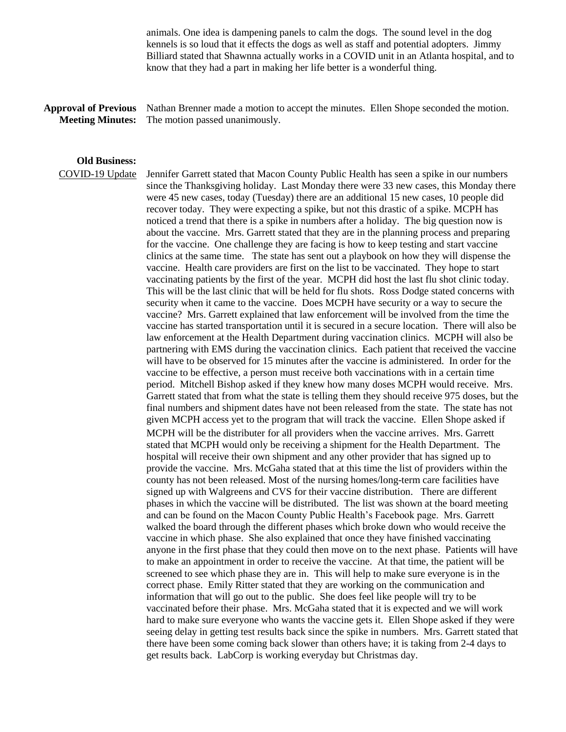animals. One idea is dampening panels to calm the dogs. The sound level in the dog kennels is so loud that it effects the dogs as well as staff and potential adopters. Jimmy Billiard stated that Shawnna actually works in a COVID unit in an Atlanta hospital, and to know that they had a part in making her life better is a wonderful thing.

## **Approval of Previous Meeting Minutes:**

Nathan Brenner made a motion to accept the minutes. Ellen Shope seconded the motion. The motion passed unanimously.

## **Old Business:**

COVID-19 Update Jennifer Garrett stated that Macon County Public Health has seen a spike in our numbers since the Thanksgiving holiday. Last Monday there were 33 new cases, this Monday there were 45 new cases, today (Tuesday) there are an additional 15 new cases, 10 people did recover today. They were expecting a spike, but not this drastic of a spike. MCPH has noticed a trend that there is a spike in numbers after a holiday. The big question now is about the vaccine. Mrs. Garrett stated that they are in the planning process and preparing for the vaccine. One challenge they are facing is how to keep testing and start vaccine clinics at the same time. The state has sent out a playbook on how they will dispense the vaccine. Health care providers are first on the list to be vaccinated. They hope to start vaccinating patients by the first of the year. MCPH did host the last flu shot clinic today. This will be the last clinic that will be held for flu shots. Ross Dodge stated concerns with security when it came to the vaccine. Does MCPH have security or a way to secure the vaccine? Mrs. Garrett explained that law enforcement will be involved from the time the vaccine has started transportation until it is secured in a secure location. There will also be law enforcement at the Health Department during vaccination clinics. MCPH will also be partnering with EMS during the vaccination clinics. Each patient that received the vaccine will have to be observed for 15 minutes after the vaccine is administered. In order for the vaccine to be effective, a person must receive both vaccinations with in a certain time period. Mitchell Bishop asked if they knew how many doses MCPH would receive. Mrs. Garrett stated that from what the state is telling them they should receive 975 doses, but the final numbers and shipment dates have not been released from the state. The state has not given MCPH access yet to the program that will track the vaccine. Ellen Shope asked if MCPH will be the distributer for all providers when the vaccine arrives. Mrs. Garrett stated that MCPH would only be receiving a shipment for the Health Department. The hospital will receive their own shipment and any other provider that has signed up to provide the vaccine. Mrs. McGaha stated that at this time the list of providers within the county has not been released. Most of the nursing homes/long-term care facilities have signed up with Walgreens and CVS for their vaccine distribution. There are different phases in which the vaccine will be distributed. The list was shown at the board meeting and can be found on the Macon County Public Health's Facebook page. Mrs. Garrett walked the board through the different phases which broke down who would receive the vaccine in which phase. She also explained that once they have finished vaccinating anyone in the first phase that they could then move on to the next phase. Patients will have to make an appointment in order to receive the vaccine. At that time, the patient will be screened to see which phase they are in. This will help to make sure everyone is in the correct phase. Emily Ritter stated that they are working on the communication and information that will go out to the public. She does feel like people will try to be vaccinated before their phase. Mrs. McGaha stated that it is expected and we will work hard to make sure everyone who wants the vaccine gets it. Ellen Shope asked if they were seeing delay in getting test results back since the spike in numbers. Mrs. Garrett stated that there have been some coming back slower than others have; it is taking from 2-4 days to get results back. LabCorp is working everyday but Christmas day.